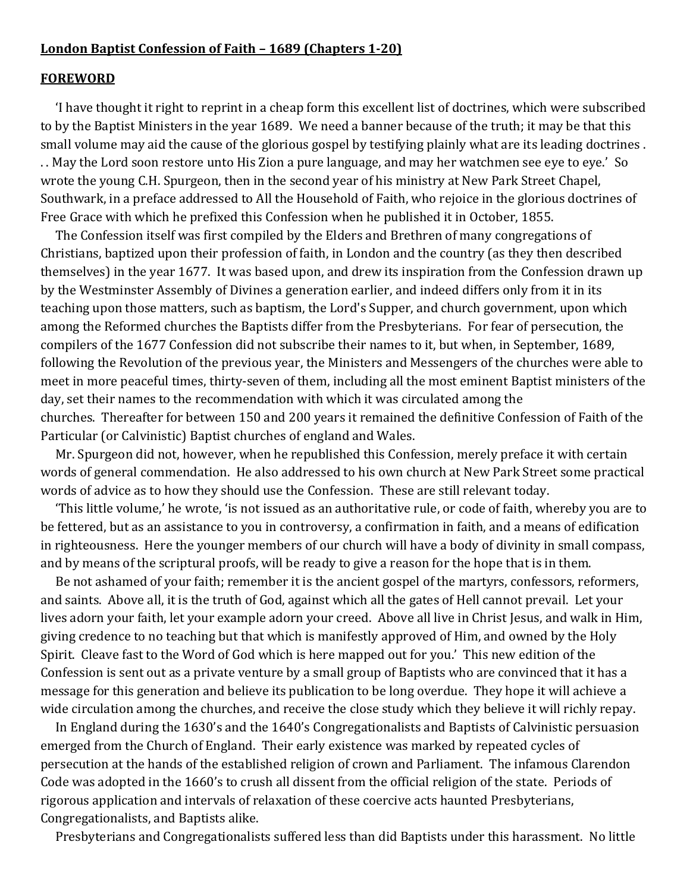#### **London Baptist Confession of Faith – 1689 (Chapters 1-20)**

#### **FOREWORD**

 'I have thought it right to reprint in a cheap form this excellent list of doctrines, which were subscribed to by the Baptist Ministers in the year 1689. We need a banner because of the truth; it may be that this small volume may aid the cause of the glorious gospel by testifying plainly what are its leading doctrines . . . May the Lord soon restore unto His Zion a pure language, and may her watchmen see eye to eye.' So wrote the young C.H. Spurgeon, then in the second year of his ministry at New Park Street Chapel, Southwark, in a preface addressed to All the Household of Faith, who rejoice in the glorious doctrines of Free Grace with which he prefixed this Confession when he published it in October, 1855.

 The Confession itself was first compiled by the Elders and Brethren of many congregations of Christians, baptized upon their profession of faith, in London and the country (as they then described themselves) in the year 1677. It was based upon, and drew its inspiration from the Confession drawn up by the Westminster Assembly of Divines a generation earlier, and indeed differs only from it in its teaching upon those matters, such as baptism, the Lord's Supper, and church government, upon which among the Reformed churches the Baptists differ from the Presbyterians. For fear of persecution, the compilers of the 1677 Confession did not subscribe their names to it, but when, in September, 1689, following the Revolution of the previous year, the Ministers and Messengers of the churches were able to meet in more peaceful times, thirty-seven of them, including all the most eminent Baptist ministers of the day, set their names to the recommendation with which it was circulated among the churches. Thereafter for between 150 and 200 years it remained the definitive Confession of Faith of the Particular (or Calvinistic) Baptist churches of england and Wales.

 Mr. Spurgeon did not, however, when he republished this Confession, merely preface it with certain words of general commendation. He also addressed to his own church at New Park Street some practical words of advice as to how they should use the Confession. These are still relevant today.

 'This little volume,' he wrote, 'is not issued as an authoritative rule, or code of faith, whereby you are to be fettered, but as an assistance to you in controversy, a confirmation in faith, and a means of edification in righteousness. Here the younger members of our church will have a body of divinity in small compass, and by means of the scriptural proofs, will be ready to give a reason for the hope that is in them.

 Be not ashamed of your faith; remember it is the ancient gospel of the martyrs, confessors, reformers, and saints. Above all, it is the truth of God, against which all the gates of Hell cannot prevail. Let your lives adorn your faith, let your example adorn your creed. Above all live in Christ Jesus, and walk in Him, giving credence to no teaching but that which is manifestly approved of Him, and owned by the Holy Spirit. Cleave fast to the Word of God which is here mapped out for you.' This new edition of the Confession is sent out as a private venture by a small group of Baptists who are convinced that it has a message for this generation and believe its publication to be long overdue. They hope it will achieve a wide circulation among the churches, and receive the close study which they believe it will richly repay.

 In England during the 1630's and the 1640's Congregationalists and Baptists of Calvinistic persuasion emerged from the Church of England. Their early existence was marked by repeated cycles of persecution at the hands of the established religion of crown and Parliament. The infamous Clarendon Code was adopted in the 1660's to crush all dissent from the official religion of the state. Periods of rigorous application and intervals of relaxation of these coercive acts haunted Presbyterians, Congregationalists, and Baptists alike.

Presbyterians and Congregationalists suffered less than did Baptists under this harassment. No little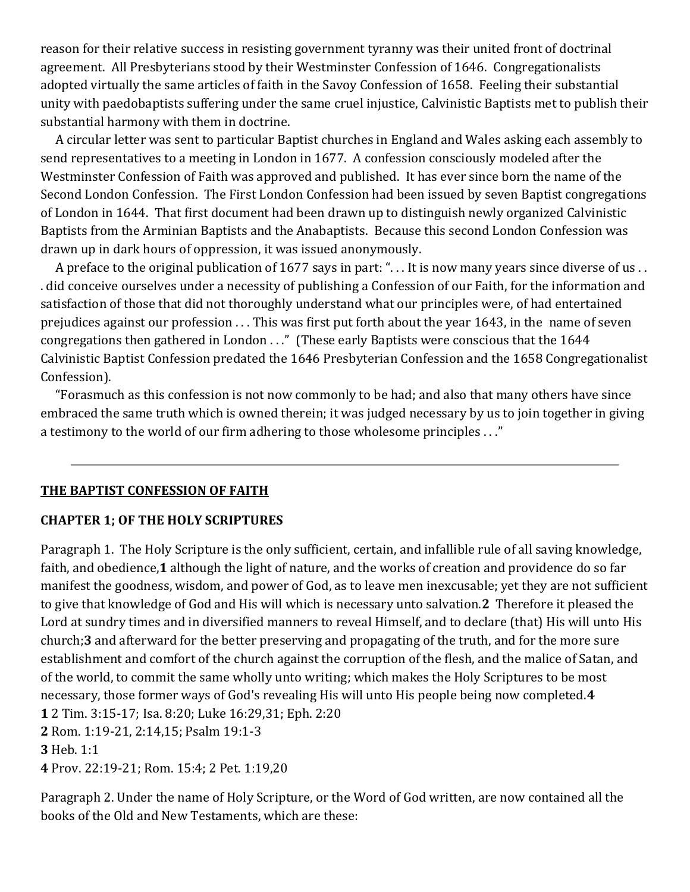reason for their relative success in resisting government tyranny was their united front of doctrinal agreement. All Presbyterians stood by their Westminster Confession of 1646. Congregationalists adopted virtually the same articles of faith in the Savoy Confession of 1658. Feeling their substantial unity with paedobaptists suffering under the same cruel injustice, Calvinistic Baptists met to publish their substantial harmony with them in doctrine.

 A circular letter was sent to particular Baptist churches in England and Wales asking each assembly to send representatives to a meeting in London in 1677. A confession consciously modeled after the Westminster Confession of Faith was approved and published. It has ever since born the name of the Second London Confession. The First London Confession had been issued by seven Baptist congregations of London in 1644. That first document had been drawn up to distinguish newly organized Calvinistic Baptists from the Arminian Baptists and the Anabaptists. Because this second London Confession was drawn up in dark hours of oppression, it was issued anonymously.

A preface to the original publication of 1677 says in part: "... It is now many years since diverse of us.. . did conceive ourselves under a necessity of publishing a Confession of our Faith, for the information and satisfaction of those that did not thoroughly understand what our principles were, of had entertained prejudices against our profession . . . This was first put forth about the year 1643, in the name of seven congregations then gathered in London . . ." (These early Baptists were conscious that the 1644 Calvinistic Baptist Confession predated the 1646 Presbyterian Confession and the 1658 Congregationalist Confession).

 "Forasmuch as this confession is not now commonly to be had; and also that many others have since embraced the same truth which is owned therein; it was judged necessary by us to join together in giving a testimony to the world of our firm adhering to those wholesome principles . . ."

#### **THE BAPTIST CONFESSION OF FAITH**

#### **CHAPTER 1; OF THE HOLY SCRIPTURES**

Paragraph 1. The Holy Scripture is the only sufficient, certain, and infallible rule of all saving knowledge, faith, and obedience,**1** although the light of nature, and the works of creation and providence do so far manifest the goodness, wisdom, and power of God, as to leave men inexcusable; yet they are not sufficient to give that knowledge of God and His will which is necessary unto salvation.**2** Therefore it pleased the Lord at sundry times and in diversified manners to reveal Himself, and to declare (that) His will unto His church;**3** and afterward for the better preserving and propagating of the truth, and for the more sure establishment and comfort of the church against the corruption of the flesh, and the malice of Satan, and of the world, to commit the same wholly unto writing; which makes the Holy Scriptures to be most necessary, those former ways of God's revealing His will unto His people being now completed.**4 1** 2 Tim. 3:15-17; Isa. 8:20; Luke 16:29,31; Eph. 2:20 **2** Rom. 1:19-21, 2:14,15; Psalm 19:1-3 **3** Heb. 1:1 **4** Prov. 22:19-21; Rom. 15:4; 2 Pet. 1:19,20

Paragraph 2. Under the name of Holy Scripture, or the Word of God written, are now contained all the books of the Old and New Testaments, which are these: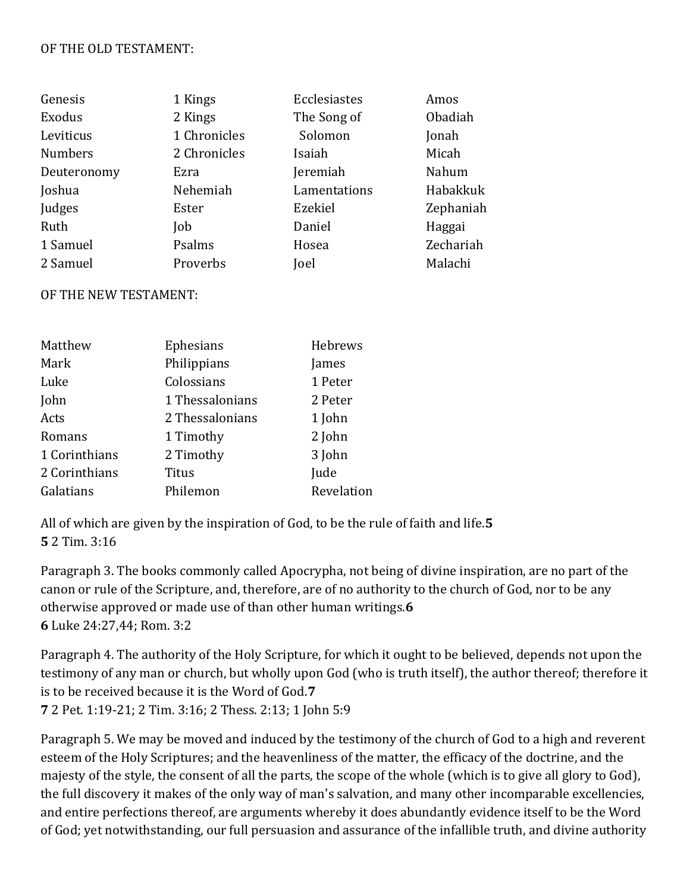#### OF THE OLD TESTAMENT:

| Genesis        | 1 Kings      | Ecclesiastes | Amos      |
|----------------|--------------|--------------|-----------|
| Exodus         | 2 Kings      | The Song of  | Obadiah   |
| Leviticus      | 1 Chronicles | Solomon      | Jonah     |
| <b>Numbers</b> | 2 Chronicles | Isaiah       | Micah     |
| Deuteronomy    | Ezra         | Jeremiah     | Nahum     |
| Joshua         | Nehemiah     | Lamentations | Habakkuk  |
| Judges         | Ester        | Ezekiel      | Zephaniah |
| Ruth           | Job          | Daniel       | Haggai    |
| 1 Samuel       | Psalms       | Hosea        | Zechariah |
| 2 Samuel       | Proverbs     | Joel         | Malachi   |

#### OF THE NEW TESTAMENT:

| Matthew       | Ephesians       | Hebrews    |
|---------------|-----------------|------------|
| Mark          | Philippians     | James      |
| Luke          | Colossians      | 1 Peter    |
| John          | 1 Thessalonians | 2 Peter    |
| Acts          | 2 Thessalonians | 1 John     |
| Romans        | 1 Timothy       | 2 John     |
| 1 Corinthians | 2 Timothy       | 3 John     |
| 2 Corinthians | <b>Titus</b>    | Jude       |
| Galatians     | Philemon        | Revelation |

All of which are given by the inspiration of God, to be the rule of faith and life.**5 5** 2 Tim. 3:16

Paragraph 3. The books commonly called Apocrypha, not being of divine inspiration, are no part of the canon or rule of the Scripture, and, therefore, are of no authority to the church of God, nor to be any otherwise approved or made use of than other human writings.**6 6** Luke 24:27,44; Rom. 3:2

Paragraph 4. The authority of the Holy Scripture, for which it ought to be believed, depends not upon the testimony of any man or church, but wholly upon God (who is truth itself), the author thereof; therefore it is to be received because it is the Word of God.**7 7** 2 Pet. 1:19-21; 2 Tim. 3:16; 2 Thess. 2:13; 1 John 5:9

Paragraph 5. We may be moved and induced by the testimony of the church of God to a high and reverent esteem of the Holy Scriptures; and the heavenliness of the matter, the efficacy of the doctrine, and the majesty of the style, the consent of all the parts, the scope of the whole (which is to give all glory to God), the full discovery it makes of the only way of man's salvation, and many other incomparable excellencies, and entire perfections thereof, are arguments whereby it does abundantly evidence itself to be the Word of God; yet notwithstanding, our full persuasion and assurance of the infallible truth, and divine authority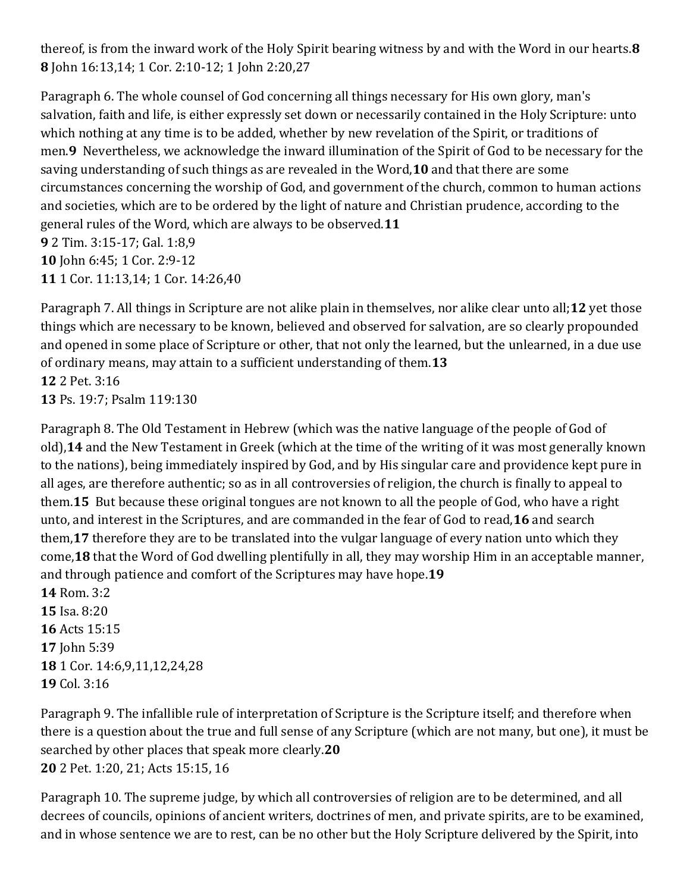thereof, is from the inward work of the Holy Spirit bearing witness by and with the Word in our hearts.**8 8** John 16:13,14; 1 Cor. 2:10-12; 1 John 2:20,27

Paragraph 6. The whole counsel of God concerning all things necessary for His own glory, man's salvation, faith and life, is either expressly set down or necessarily contained in the Holy Scripture: unto which nothing at any time is to be added, whether by new revelation of the Spirit, or traditions of men.**9** Nevertheless, we acknowledge the inward illumination of the Spirit of God to be necessary for the saving understanding of such things as are revealed in the Word,**10** and that there are some circumstances concerning the worship of God, and government of the church, common to human actions and societies, which are to be ordered by the light of nature and Christian prudence, according to the general rules of the Word, which are always to be observed.**11 9** 2 Tim. 3:15-17; Gal. 1:8,9 **10** John 6:45; 1 Cor. 2:9-12 **11** 1 Cor. 11:13,14; 1 Cor. 14:26,40

Paragraph 7. All things in Scripture are not alike plain in themselves, nor alike clear unto all;**12** yet those things which are necessary to be known, believed and observed for salvation, are so clearly propounded and opened in some place of Scripture or other, that not only the learned, but the unlearned, in a due use of ordinary means, may attain to a sufficient understanding of them.**13 12** 2 Pet. 3:16

**13** Ps. 19:7; Psalm 119:130

Paragraph 8. The Old Testament in Hebrew (which was the native language of the people of God of old),**14** and the New Testament in Greek (which at the time of the writing of it was most generally known to the nations), being immediately inspired by God, and by His singular care and providence kept pure in all ages, are therefore authentic; so as in all controversies of religion, the church is finally to appeal to them.**15** But because these original tongues are not known to all the people of God, who have a right unto, and interest in the Scriptures, and are commanded in the fear of God to read,**16** and search them,**17** therefore they are to be translated into the vulgar language of every nation unto which they come,**18** that the Word of God dwelling plentifully in all, they may worship Him in an acceptable manner, and through patience and comfort of the Scriptures may have hope.**19**

**14** Rom. 3:2 Isa. 8:20 Acts 15:15 John 5:39 1 Cor. 14:6,9,11,12,24,28 Col. 3:16

Paragraph 9. The infallible rule of interpretation of Scripture is the Scripture itself; and therefore when there is a question about the true and full sense of any Scripture (which are not many, but one), it must be searched by other places that speak more clearly.**20 20** 2 Pet. 1:20, 21; Acts 15:15, 16

Paragraph 10. The supreme judge, by which all controversies of religion are to be determined, and all decrees of councils, opinions of ancient writers, doctrines of men, and private spirits, are to be examined, and in whose sentence we are to rest, can be no other but the Holy Scripture delivered by the Spirit, into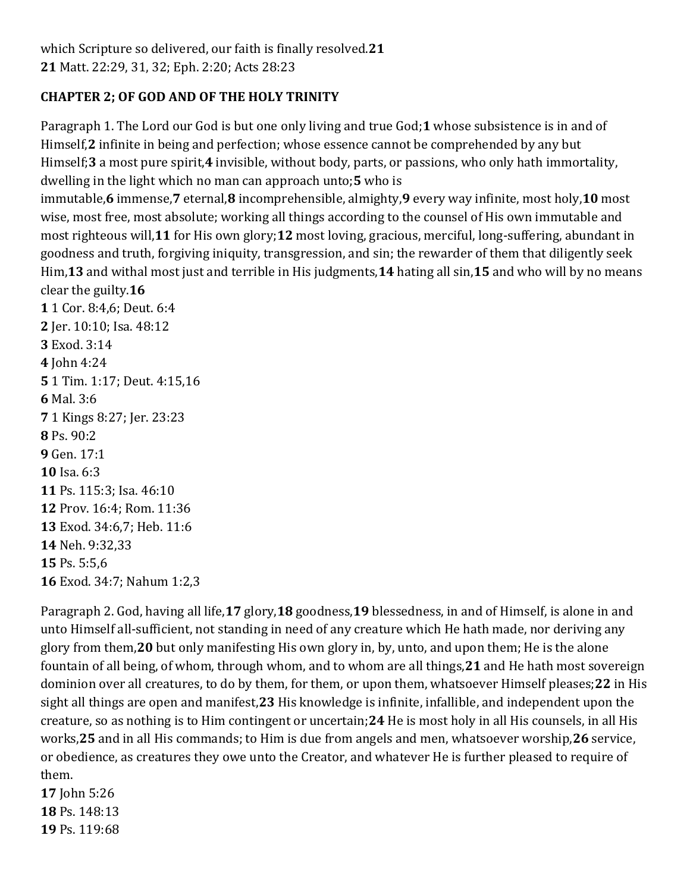## **CHAPTER 2; OF GOD AND OF THE HOLY TRINITY**

Paragraph 1. The Lord our God is but one only living and true God;**1** whose subsistence is in and of Himself,**2** infinite in being and perfection; whose essence cannot be comprehended by any but Himself;**3** a most pure spirit,**4** invisible, without body, parts, or passions, who only hath immortality, dwelling in the light which no man can approach unto;**5** who is

immutable,**6** immense,**7** eternal,**8** incomprehensible, almighty,**9** every way infinite, most holy,**10** most wise, most free, most absolute; working all things according to the counsel of His own immutable and most righteous will,**11** for His own glory;**12** most loving, gracious, merciful, long-suffering, abundant in goodness and truth, forgiving iniquity, transgression, and sin; the rewarder of them that diligently seek Him,**13** and withal most just and terrible in His judgments,**14** hating all sin,**15** and who will by no means clear the guilty.**16**

 1 Cor. 8:4,6; Deut. 6:4 Jer. 10:10; Isa. 48:12 Exod. 3:14 John 4:24 1 Tim. 1:17; Deut. 4:15,16 **6** Mal. 3:6 1 Kings 8:27; Jer. 23:23 **8** Ps. 90:2 Gen. 17:1 **10** Isa. 6:3 Ps. 115:3; Isa. 46:10 Prov. 16:4; Rom. 11:36 Exod. 34:6,7; Heb. 11:6 Neh. 9:32,33 Ps. 5:5,6 Exod. 34:7; Nahum 1:2,3

Paragraph 2. God, having all life,**17** glory,**18** goodness,**19** blessedness, in and of Himself, is alone in and unto Himself all-sufficient, not standing in need of any creature which He hath made, nor deriving any glory from them,**20** but only manifesting His own glory in, by, unto, and upon them; He is the alone fountain of all being, of whom, through whom, and to whom are all things,**21** and He hath most sovereign dominion over all creatures, to do by them, for them, or upon them, whatsoever Himself pleases;**22** in His sight all things are open and manifest,**23** His knowledge is infinite, infallible, and independent upon the creature, so as nothing is to Him contingent or uncertain;**24** He is most holy in all His counsels, in all His works,**25** and in all His commands; to Him is due from angels and men, whatsoever worship,**26** service, or obedience, as creatures they owe unto the Creator, and whatever He is further pleased to require of them.

**17** John 5:26 **18** Ps. 148:13 **19** Ps. 119:68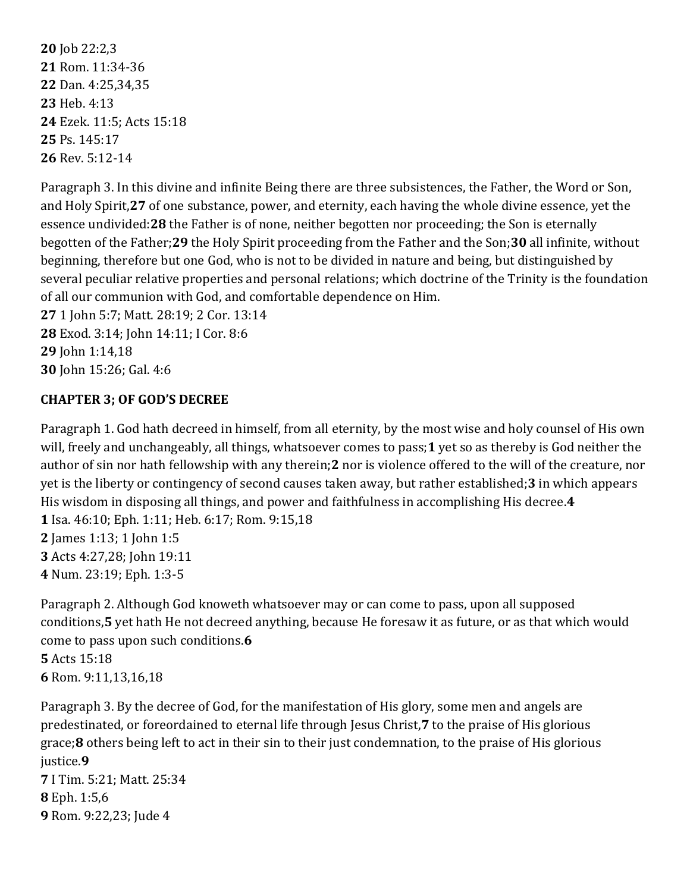Job 22:2,3 Rom. 11:34-36 Dan. 4:25,34,35 Heb. 4:13 Ezek. 11:5; Acts 15:18 Ps. 145:17 Rev. 5:12-14

Paragraph 3. In this divine and infinite Being there are three subsistences, the Father, the Word or Son, and Holy Spirit,**27** of one substance, power, and eternity, each having the whole divine essence, yet the essence undivided:**28** the Father is of none, neither begotten nor proceeding; the Son is eternally begotten of the Father;**29** the Holy Spirit proceeding from the Father and the Son;**30** all infinite, without beginning, therefore but one God, who is not to be divided in nature and being, but distinguished by several peculiar relative properties and personal relations; which doctrine of the Trinity is the foundation of all our communion with God, and comfortable dependence on Him.

 1 John 5:7; Matt. 28:19; 2 Cor. 13:14 Exod. 3:14; John 14:11; I Cor. 8:6 John 1:14,18 John 15:26; Gal. 4:6

## **CHAPTER 3; OF GOD'S DECREE**

Paragraph 1. God hath decreed in himself, from all eternity, by the most wise and holy counsel of His own will, freely and unchangeably, all things, whatsoever comes to pass;**1** yet so as thereby is God neither the author of sin nor hath fellowship with any therein;**2** nor is violence offered to the will of the creature, nor yet is the liberty or contingency of second causes taken away, but rather established;**3** in which appears His wisdom in disposing all things, and power and faithfulness in accomplishing His decree.**4**

 Isa. 46:10; Eph. 1:11; Heb. 6:17; Rom. 9:15,18 James 1:13; 1 John 1:5 Acts 4:27,28; John 19:11 Num. 23:19; Eph. 1:3-5

Paragraph 2. Although God knoweth whatsoever may or can come to pass, upon all supposed conditions,**5** yet hath He not decreed anything, because He foresaw it as future, or as that which would come to pass upon such conditions.**6 5** Acts 15:18 **6** Rom. 9:11,13,16,18

Paragraph 3. By the decree of God, for the manifestation of His glory, some men and angels are predestinated, or foreordained to eternal life through Jesus Christ,**7** to the praise of His glorious grace;**8** others being left to act in their sin to their just condemnation, to the praise of His glorious justice.**9**

**7** I Tim. 5:21; Matt. 25:34 **8** Eph. 1:5,6 **9** Rom. 9:22,23; Jude 4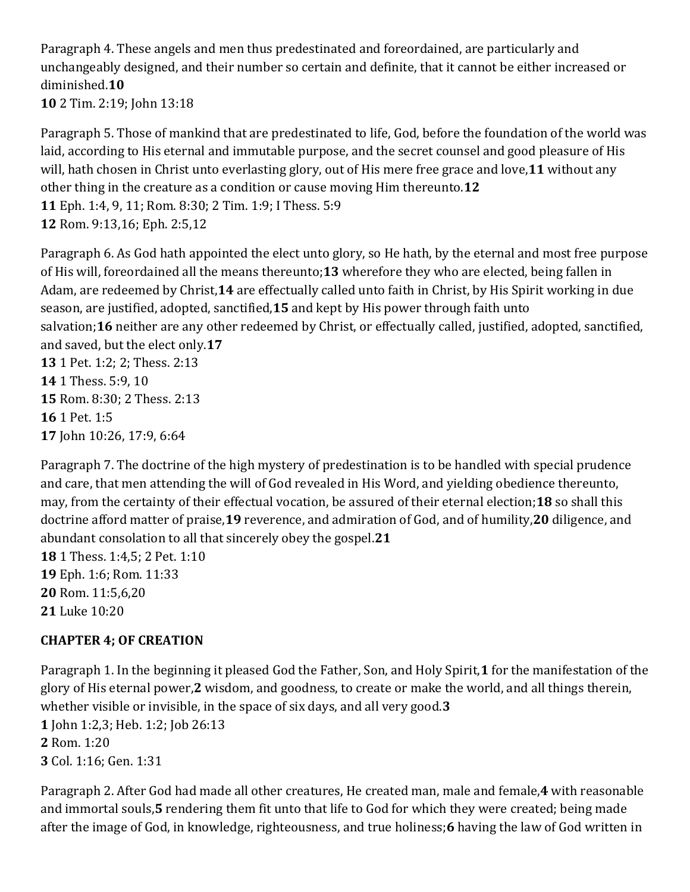Paragraph 4. These angels and men thus predestinated and foreordained, are particularly and unchangeably designed, and their number so certain and definite, that it cannot be either increased or diminished.**10**

**10** 2 Tim. 2:19; John 13:18

Paragraph 5. Those of mankind that are predestinated to life, God, before the foundation of the world was laid, according to His eternal and immutable purpose, and the secret counsel and good pleasure of His will, hath chosen in Christ unto everlasting glory, out of His mere free grace and love,**11** without any other thing in the creature as a condition or cause moving Him thereunto.**12 11** Eph. 1:4, 9, 11; Rom. 8:30; 2 Tim. 1:9; I Thess. 5:9 **12** Rom. 9:13,16; Eph. 2:5,12

Paragraph 6. As God hath appointed the elect unto glory, so He hath, by the eternal and most free purpose of His will, foreordained all the means thereunto;**13** wherefore they who are elected, being fallen in Adam, are redeemed by Christ,**14** are effectually called unto faith in Christ, by His Spirit working in due season, are justified, adopted, sanctified,**15** and kept by His power through faith unto salvation;**16** neither are any other redeemed by Christ, or effectually called, justified, adopted, sanctified, and saved, but the elect only.**17 13** 1 Pet. 1:2; 2; Thess. 2:13 **14** 1 Thess. 5:9, 10

**15** Rom. 8:30; 2 Thess. 2:13 **16** 1 Pet. 1:5 **17** John 10:26, 17:9, 6:64

Paragraph 7. The doctrine of the high mystery of predestination is to be handled with special prudence and care, that men attending the will of God revealed in His Word, and yielding obedience thereunto, may, from the certainty of their effectual vocation, be assured of their eternal election;**18** so shall this doctrine afford matter of praise,**19** reverence, and admiration of God, and of humility,**20** diligence, and abundant consolation to all that sincerely obey the gospel.**21**

 1 Thess. 1:4,5; 2 Pet. 1:10 Eph. 1:6; Rom. 11:33 Rom. 11:5,6,20 Luke 10:20

## **CHAPTER 4; OF CREATION**

Paragraph 1. In the beginning it pleased God the Father, Son, and Holy Spirit,**1** for the manifestation of the glory of His eternal power,**2** wisdom, and goodness, to create or make the world, and all things therein, whether visible or invisible, in the space of six days, and all very good.**3 1** John 1:2,3; Heb. 1:2; Job 26:13 **2** Rom. 1:20 **3** Col. 1:16; Gen. 1:31

Paragraph 2. After God had made all other creatures, He created man, male and female,**4** with reasonable and immortal souls,**5** rendering them fit unto that life to God for which they were created; being made after the image of God, in knowledge, righteousness, and true holiness;**6** having the law of God written in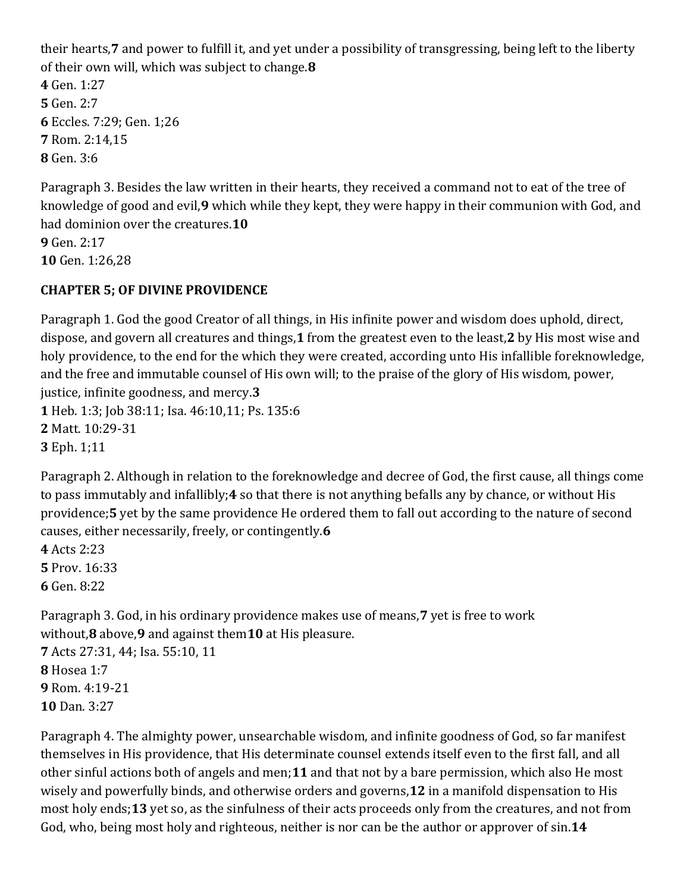their hearts,**7** and power to fulfill it, and yet under a possibility of transgressing, being left to the liberty of their own will, which was subject to change.**8 4** Gen. 1:27 **5** Gen. 2:7 **6** Eccles. 7:29; Gen. 1;26 **7** Rom. 2:14,15 **8** Gen. 3:6

Paragraph 3. Besides the law written in their hearts, they received a command not to eat of the tree of knowledge of good and evil,**9** which while they kept, they were happy in their communion with God, and had dominion over the creatures.**10 9** Gen. 2:17 **10** Gen. 1:26,28

## **CHAPTER 5; OF DIVINE PROVIDENCE**

Paragraph 1. God the good Creator of all things, in His infinite power and wisdom does uphold, direct, dispose, and govern all creatures and things,**1** from the greatest even to the least,**2** by His most wise and holy providence, to the end for the which they were created, according unto His infallible foreknowledge, and the free and immutable counsel of His own will; to the praise of the glory of His wisdom, power, justice, infinite goodness, and mercy.**3 1** Heb. 1:3; Job 38:11; Isa. 46:10,11; Ps. 135:6 **2** Matt. 10:29-31 **3** Eph. 1;11

Paragraph 2. Although in relation to the foreknowledge and decree of God, the first cause, all things come to pass immutably and infallibly;**4** so that there is not anything befalls any by chance, or without His providence;**5** yet by the same providence He ordered them to fall out according to the nature of second causes, either necessarily, freely, or contingently.**6**

**4** Acts 2:23 **5** Prov. 16:33 **6** Gen. 8:22

Paragraph 3. God, in his ordinary providence makes use of means,**7** yet is free to work without,**8** above,**9** and against them**10** at His pleasure.

 Acts 27:31, 44; Isa. 55:10, 11 Hosea 1:7 Rom. 4:19-21 Dan. 3:27

Paragraph 4. The almighty power, unsearchable wisdom, and infinite goodness of God, so far manifest themselves in His providence, that His determinate counsel extends itself even to the first fall, and all other sinful actions both of angels and men;**11** and that not by a bare permission, which also He most wisely and powerfully binds, and otherwise orders and governs,**12** in a manifold dispensation to His most holy ends;**13** yet so, as the sinfulness of their acts proceeds only from the creatures, and not from God, who, being most holy and righteous, neither is nor can be the author or approver of sin.**14**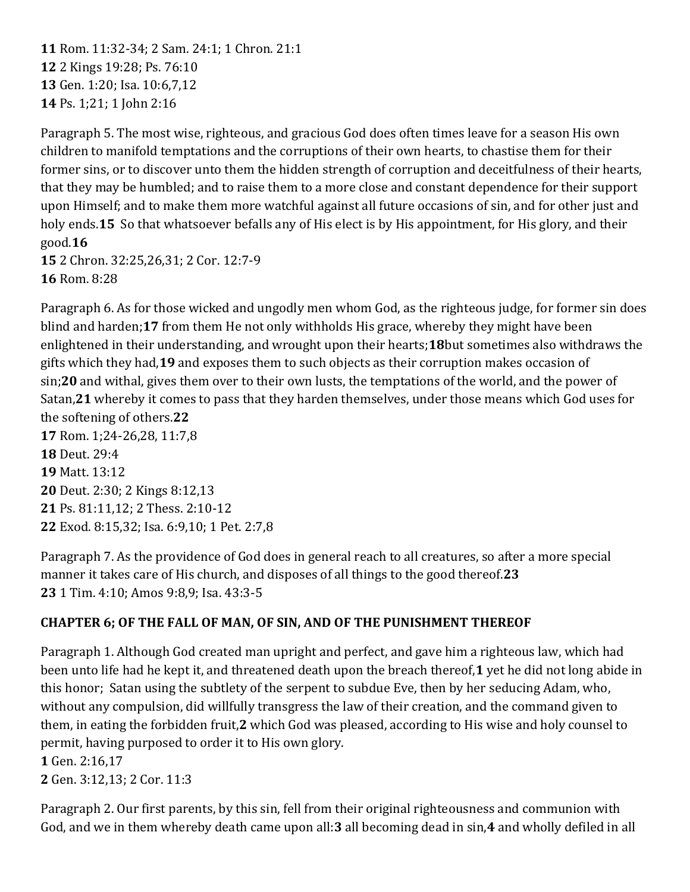Rom. 11:32-34; 2 Sam. 24:1; 1 Chron. 21:1 2 Kings 19:28; Ps. 76:10 Gen. 1:20; Isa. 10:6,7,12 Ps. 1;21; 1 John 2:16

Paragraph 5. The most wise, righteous, and gracious God does often times leave for a season His own children to manifold temptations and the corruptions of their own hearts, to chastise them for their former sins, or to discover unto them the hidden strength of corruption and deceitfulness of their hearts, that they may be humbled; and to raise them to a more close and constant dependence for their support upon Himself; and to make them more watchful against all future occasions of sin, and for other just and holy ends.**15** So that whatsoever befalls any of His elect is by His appointment, for His glory, and their good.**16**

**15** 2 Chron. 32:25,26,31; 2 Cor. 12:7-9 **16** Rom. 8:28

Paragraph 6. As for those wicked and ungodly men whom God, as the righteous judge, for former sin does blind and harden;**17** from them He not only withholds His grace, whereby they might have been enlightened in their understanding, and wrought upon their hearts;**18**but sometimes also withdraws the gifts which they had,**19** and exposes them to such objects as their corruption makes occasion of sin;**20** and withal, gives them over to their own lusts, the temptations of the world, and the power of Satan,**21** whereby it comes to pass that they harden themselves, under those means which God uses for the softening of others.**22 17** Rom. 1;24-26,28, 11:7,8 **18** Deut. 29:4 **19** Matt. 13:12

**20** Deut. 2:30; 2 Kings 8:12,13 **21** Ps. 81:11,12; 2 Thess. 2:10-12 **22** Exod. 8:15,32; Isa. 6:9,10; 1 Pet. 2:7,8

Paragraph 7. As the providence of God does in general reach to all creatures, so after a more special manner it takes care of His church, and disposes of all things to the good thereof.**23 23** 1 Tim. 4:10; Amos 9:8,9; Isa. 43:3-5

## **CHAPTER 6; OF THE FALL OF MAN, OF SIN, AND OF THE PUNISHMENT THEREOF**

Paragraph 1. Although God created man upright and perfect, and gave him a righteous law, which had been unto life had he kept it, and threatened death upon the breach thereof,**1** yet he did not long abide in this honor; Satan using the subtlety of the serpent to subdue Eve, then by her seducing Adam, who, without any compulsion, did willfully transgress the law of their creation, and the command given to them, in eating the forbidden fruit,**2** which God was pleased, according to His wise and holy counsel to permit, having purposed to order it to His own glory.

**1** Gen. 2:16,17 **2** Gen. 3:12,13; 2 Cor. 11:3

Paragraph 2. Our first parents, by this sin, fell from their original righteousness and communion with God, and we in them whereby death came upon all:**3** all becoming dead in sin,**4** and wholly defiled in all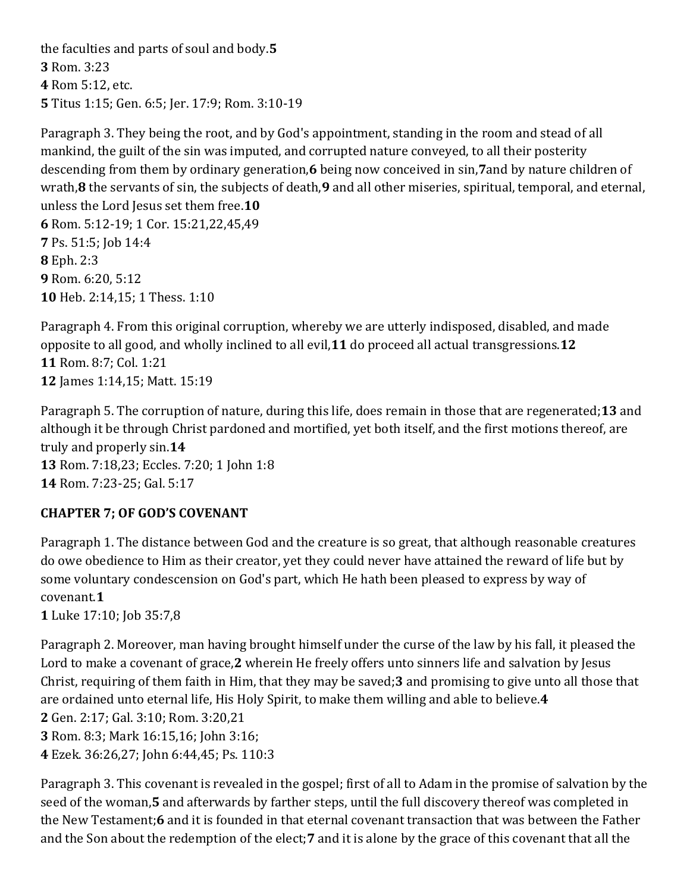the faculties and parts of soul and body.**5** Rom. 3:23 Rom 5:12, etc. Titus 1:15; Gen. 6:5; Jer. 17:9; Rom. 3:10-19

Paragraph 3. They being the root, and by God's appointment, standing in the room and stead of all mankind, the guilt of the sin was imputed, and corrupted nature conveyed, to all their posterity descending from them by ordinary generation,**6** being now conceived in sin,**7**and by nature children of wrath,**8** the servants of sin, the subjects of death,**9** and all other miseries, spiritual, temporal, and eternal, unless the Lord Jesus set them free.**10 6** Rom. 5:12-19; 1 Cor. 15:21,22,45,49 **7** Ps. 51:5; Job 14:4 **8** Eph. 2:3 **9** Rom. 6:20, 5:12 **10** Heb. 2:14,15; 1 Thess. 1:10

Paragraph 4. From this original corruption, whereby we are utterly indisposed, disabled, and made opposite to all good, and wholly inclined to all evil,**11** do proceed all actual transgressions.**12 11** Rom. 8:7; Col. 1:21 **12** James 1:14,15; Matt. 15:19

Paragraph 5. The corruption of nature, during this life, does remain in those that are regenerated;**13** and although it be through Christ pardoned and mortified, yet both itself, and the first motions thereof, are truly and properly sin.**14 13** Rom. 7:18,23; Eccles. 7:20; 1 John 1:8

**14** Rom. 7:23-25; Gal. 5:17

## **CHAPTER 7; OF GOD'S COVENANT**

Paragraph 1. The distance between God and the creature is so great, that although reasonable creatures do owe obedience to Him as their creator, yet they could never have attained the reward of life but by some voluntary condescension on God's part, which He hath been pleased to express by way of covenant.**1**

**1** Luke 17:10; Job 35:7,8

Paragraph 2. Moreover, man having brought himself under the curse of the law by his fall, it pleased the Lord to make a covenant of grace,**2** wherein He freely offers unto sinners life and salvation by Jesus Christ, requiring of them faith in Him, that they may be saved;**3** and promising to give unto all those that are ordained unto eternal life, His Holy Spirit, to make them willing and able to believe.**4 2** Gen. 2:17; Gal. 3:10; Rom. 3:20,21 **3** Rom. 8:3; Mark 16:15,16; John 3:16; **4** Ezek. 36:26,27; John 6:44,45; Ps. 110:3

Paragraph 3. This covenant is revealed in the gospel; first of all to Adam in the promise of salvation by the seed of the woman,**5** and afterwards by farther steps, until the full discovery thereof was completed in the New Testament;**6** and it is founded in that eternal covenant transaction that was between the Father and the Son about the redemption of the elect;**7** and it is alone by the grace of this covenant that all the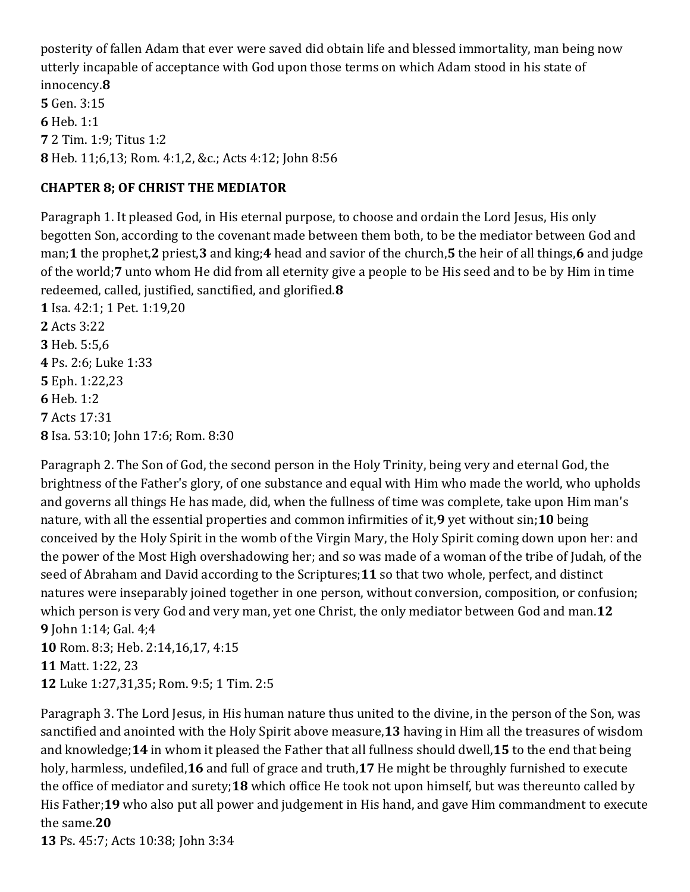posterity of fallen Adam that ever were saved did obtain life and blessed immortality, man being now utterly incapable of acceptance with God upon those terms on which Adam stood in his state of innocency.**8 5** Gen. 3:15 **6** Heb. 1:1 **7** 2 Tim. 1:9; Titus 1:2

**8** Heb. 11;6,13; Rom. 4:1,2, &c.; Acts 4:12; John 8:56

### **CHAPTER 8; OF CHRIST THE MEDIATOR**

Paragraph 1. It pleased God, in His eternal purpose, to choose and ordain the Lord Jesus, His only begotten Son, according to the covenant made between them both, to be the mediator between God and man;**1** the prophet,**2** priest,**3** and king;**4** head and savior of the church,**5** the heir of all things,**6** and judge of the world;**7** unto whom He did from all eternity give a people to be His seed and to be by Him in time redeemed, called, justified, sanctified, and glorified.**8**

 Isa. 42:1; 1 Pet. 1:19,20 Acts 3:22 Heb. 5:5,6 Ps. 2:6; Luke 1:33 Eph. 1:22,23 **6** Heb. 1:2 Acts 17:31 Isa. 53:10; John 17:6; Rom. 8:30

Paragraph 2. The Son of God, the second person in the Holy Trinity, being very and eternal God, the brightness of the Father's glory, of one substance and equal with Him who made the world, who upholds and governs all things He has made, did, when the fullness of time was complete, take upon Him man's nature, with all the essential properties and common infirmities of it,**9** yet without sin;**10** being conceived by the Holy Spirit in the womb of the Virgin Mary, the Holy Spirit coming down upon her: and the power of the Most High overshadowing her; and so was made of a woman of the tribe of Judah, of the seed of Abraham and David according to the Scriptures;**11** so that two whole, perfect, and distinct natures were inseparably joined together in one person, without conversion, composition, or confusion; which person is very God and very man, yet one Christ, the only mediator between God and man.**12 9** John 1:14; Gal. 4;4

**10** Rom. 8:3; Heb. 2:14,16,17, 4:15 **11** Matt. 1:22, 23 **12** Luke 1:27,31,35; Rom. 9:5; 1 Tim. 2:5

Paragraph 3. The Lord Jesus, in His human nature thus united to the divine, in the person of the Son, was sanctified and anointed with the Holy Spirit above measure,**13** having in Him all the treasures of wisdom and knowledge;**14** in whom it pleased the Father that all fullness should dwell,**15** to the end that being holy, harmless, undefiled,**16** and full of grace and truth,**17** He might be throughly furnished to execute the office of mediator and surety;**18** which office He took not upon himself, but was thereunto called by His Father;**19** who also put all power and judgement in His hand, and gave Him commandment to execute the same.**20**

**13** Ps. 45:7; Acts 10:38; John 3:34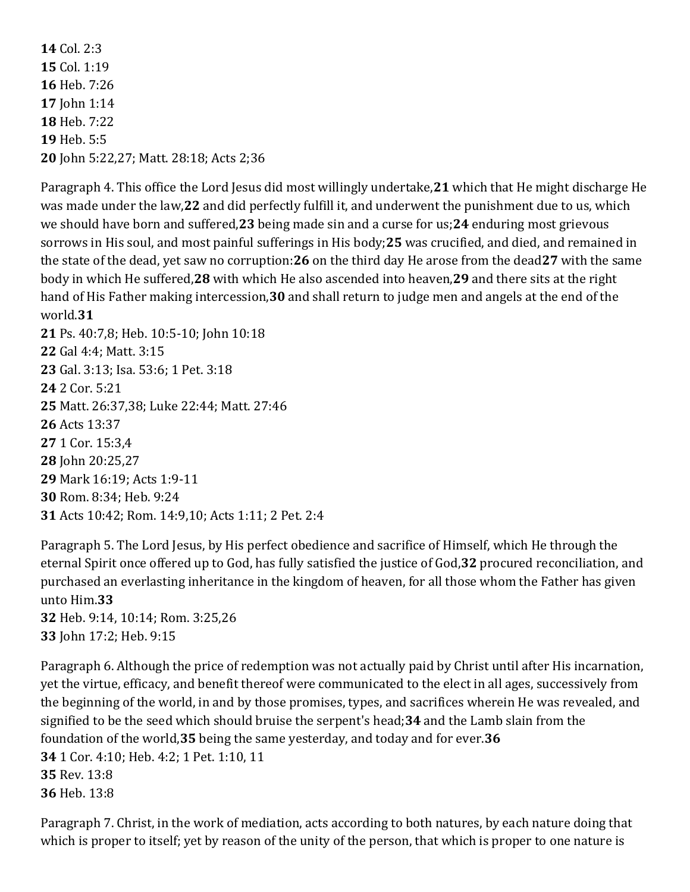**14** Col. 2:3 Col. 1:19 Heb. 7:26 John 1:14 Heb. 7:22 **19** Heb. 5:5 John 5:22,27; Matt. 28:18; Acts 2;36

Paragraph 4. This office the Lord Jesus did most willingly undertake,**21** which that He might discharge He was made under the law,**22** and did perfectly fulfill it, and underwent the punishment due to us, which we should have born and suffered,**23** being made sin and a curse for us;**24** enduring most grievous sorrows in His soul, and most painful sufferings in His body;**25** was crucified, and died, and remained in the state of the dead, yet saw no corruption:**26** on the third day He arose from the dead**27** with the same body in which He suffered,**28** with which He also ascended into heaven,**29** and there sits at the right hand of His Father making intercession,**30** and shall return to judge men and angels at the end of the world.**31**

 Ps. 40:7,8; Heb. 10:5-10; John 10:18 Gal 4:4; Matt. 3:15 Gal. 3:13; Isa. 53:6; 1 Pet. 3:18 2 Cor. 5:21 Matt. 26:37,38; Luke 22:44; Matt. 27:46 Acts 13:37 1 Cor. 15:3,4 John 20:25,27 Mark 16:19; Acts 1:9-11 Rom. 8:34; Heb. 9:24 Acts 10:42; Rom. 14:9,10; Acts 1:11; 2 Pet. 2:4

Paragraph 5. The Lord Jesus, by His perfect obedience and sacrifice of Himself, which He through the eternal Spirit once offered up to God, has fully satisfied the justice of God,**32** procured reconciliation, and purchased an everlasting inheritance in the kingdom of heaven, for all those whom the Father has given unto Him.**33**

**32** Heb. 9:14, 10:14; Rom. 3:25,26 **33** John 17:2; Heb. 9:15

Paragraph 6. Although the price of redemption was not actually paid by Christ until after His incarnation, yet the virtue, efficacy, and benefit thereof were communicated to the elect in all ages, successively from the beginning of the world, in and by those promises, types, and sacrifices wherein He was revealed, and signified to be the seed which should bruise the serpent's head;**34** and the Lamb slain from the foundation of the world,**35** being the same yesterday, and today and for ever.**36 34** 1 Cor. 4:10; Heb. 4:2; 1 Pet. 1:10, 11 **35** Rev. 13:8 **36** Heb. 13:8

Paragraph 7. Christ, in the work of mediation, acts according to both natures, by each nature doing that which is proper to itself; yet by reason of the unity of the person, that which is proper to one nature is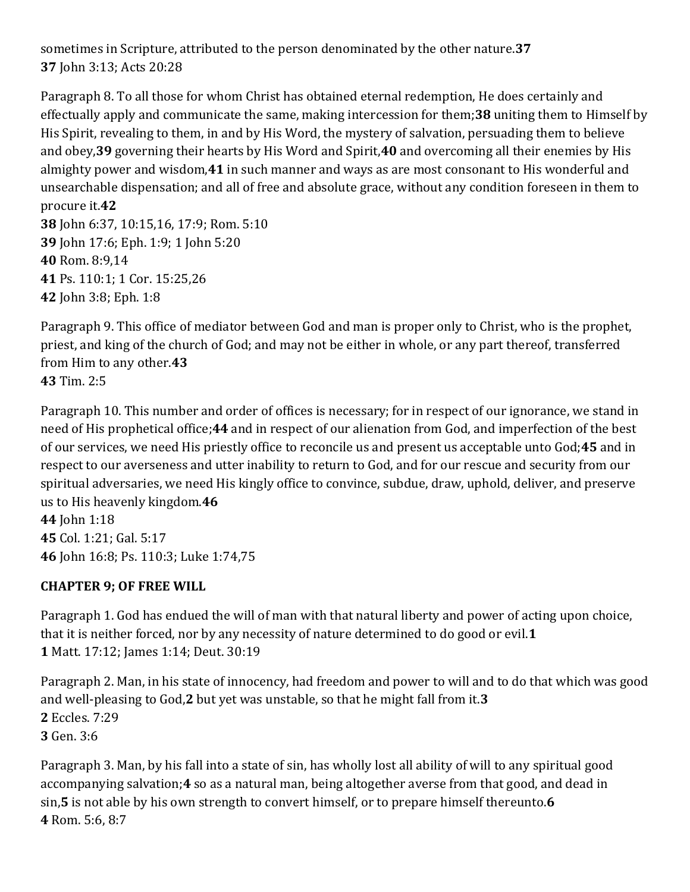sometimes in Scripture, attributed to the person denominated by the other nature.**37 37** John 3:13; Acts 20:28

Paragraph 8. To all those for whom Christ has obtained eternal redemption, He does certainly and effectually apply and communicate the same, making intercession for them;**38** uniting them to Himself by His Spirit, revealing to them, in and by His Word, the mystery of salvation, persuading them to believe and obey,**39** governing their hearts by His Word and Spirit,**40** and overcoming all their enemies by His almighty power and wisdom,**41** in such manner and ways as are most consonant to His wonderful and unsearchable dispensation; and all of free and absolute grace, without any condition foreseen in them to procure it.**42**

 John 6:37, 10:15,16, 17:9; Rom. 5:10 John 17:6; Eph. 1:9; 1 John 5:20 Rom. 8:9,14 Ps. 110:1; 1 Cor. 15:25,26 John 3:8; Eph. 1:8

Paragraph 9. This office of mediator between God and man is proper only to Christ, who is the prophet, priest, and king of the church of God; and may not be either in whole, or any part thereof, transferred from Him to any other.**43 43** Tim. 2:5

Paragraph 10. This number and order of offices is necessary; for in respect of our ignorance, we stand in need of His prophetical office;**44** and in respect of our alienation from God, and imperfection of the best of our services, we need His priestly office to reconcile us and present us acceptable unto God;**45** and in respect to our averseness and utter inability to return to God, and for our rescue and security from our spiritual adversaries, we need His kingly office to convince, subdue, draw, uphold, deliver, and preserve us to His heavenly kingdom.**46**

**44** John 1:18 **45** Col. 1:21; Gal. 5:17 **46** John 16:8; Ps. 110:3; Luke 1:74,75

## **CHAPTER 9; OF FREE WILL**

Paragraph 1. God has endued the will of man with that natural liberty and power of acting upon choice, that it is neither forced, nor by any necessity of nature determined to do good or evil.**1 1** Matt. 17:12; James 1:14; Deut. 30:19

Paragraph 2. Man, in his state of innocency, had freedom and power to will and to do that which was good and well-pleasing to God,**2** but yet was unstable, so that he might fall from it.**3 2** Eccles. 7:29 **3** Gen. 3:6

Paragraph 3. Man, by his fall into a state of sin, has wholly lost all ability of will to any spiritual good accompanying salvation;**4** so as a natural man, being altogether averse from that good, and dead in sin,**5** is not able by his own strength to convert himself, or to prepare himself thereunto.**6 4** Rom. 5:6, 8:7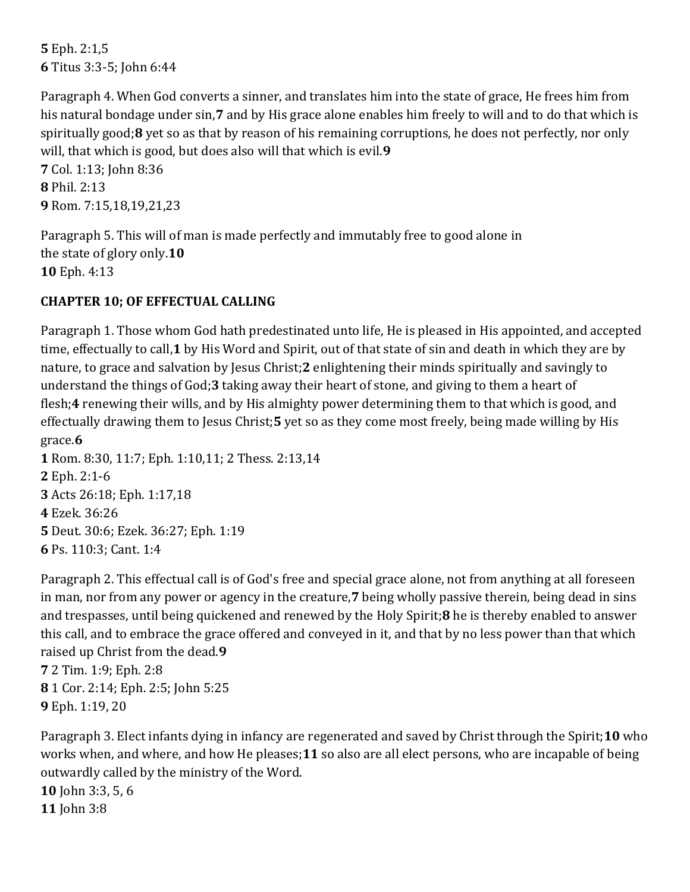**5** Eph. 2:1,5 **6** Titus 3:3-5; John 6:44

Paragraph 4. When God converts a sinner, and translates him into the state of grace, He frees him from his natural bondage under sin,**7** and by His grace alone enables him freely to will and to do that which is spiritually good;**8** yet so as that by reason of his remaining corruptions, he does not perfectly, nor only will, that which is good, but does also will that which is evil.**9**

**7** Col. 1:13; John 8:36 **8** Phil. 2:13 **9** Rom. 7:15,18,19,21,23

Paragraph 5. This will of man is made perfectly and immutably free to good alone in the state of glory only.**10 10** Eph. 4:13

## **CHAPTER 10; OF EFFECTUAL CALLING**

Paragraph 1. Those whom God hath predestinated unto life, He is pleased in His appointed, and accepted time, effectually to call,**1** by His Word and Spirit, out of that state of sin and death in which they are by nature, to grace and salvation by Jesus Christ;**2** enlightening their minds spiritually and savingly to understand the things of God;**3** taking away their heart of stone, and giving to them a heart of flesh;**4** renewing their wills, and by His almighty power determining them to that which is good, and effectually drawing them to Jesus Christ;**5** yet so as they come most freely, being made willing by His grace.**6**

 Rom. 8:30, 11:7; Eph. 1:10,11; 2 Thess. 2:13,14 Eph. 2:1-6 Acts 26:18; Eph. 1:17,18 Ezek. 36:26 Deut. 30:6; Ezek. 36:27; Eph. 1:19 Ps. 110:3; Cant. 1:4

Paragraph 2. This effectual call is of God's free and special grace alone, not from anything at all foreseen in man, nor from any power or agency in the creature,**7** being wholly passive therein, being dead in sins and trespasses, until being quickened and renewed by the Holy Spirit;**8** he is thereby enabled to answer this call, and to embrace the grace offered and conveyed in it, and that by no less power than that which raised up Christ from the dead.**9**

**7** 2 Tim. 1:9; Eph. 2:8 **8** 1 Cor. 2:14; Eph. 2:5; John 5:25 **9** Eph. 1:19, 20

Paragraph 3. Elect infants dying in infancy are regenerated and saved by Christ through the Spirit;**10** who works when, and where, and how He pleases;**11** so also are all elect persons, who are incapable of being outwardly called by the ministry of the Word.

**10** John 3:3, 5, 6 **11** John 3:8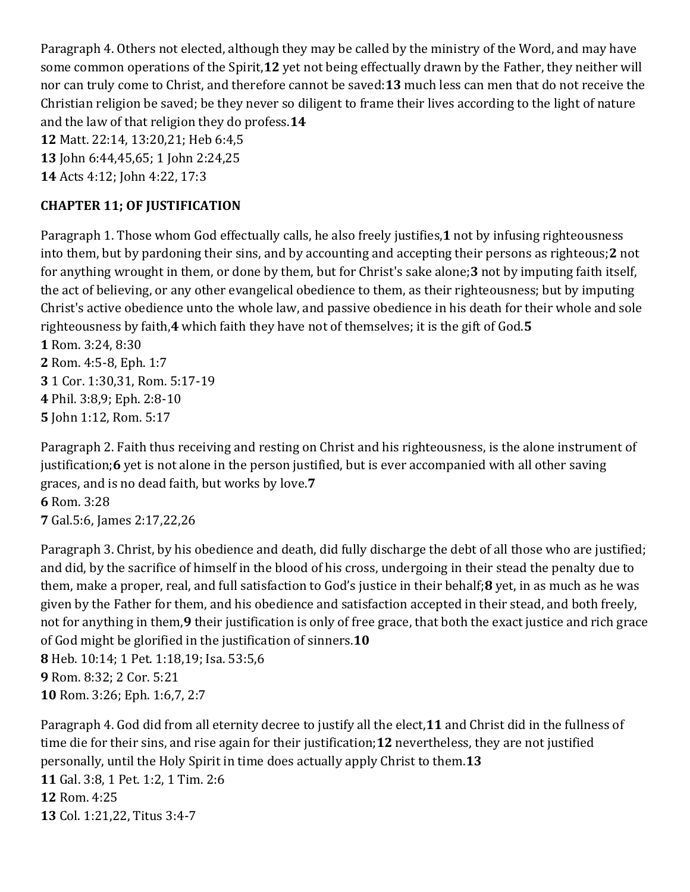Paragraph 4. Others not elected, although they may be called by the ministry of the Word, and may have some common operations of the Spirit,**12** yet not being effectually drawn by the Father, they neither will nor can truly come to Christ, and therefore cannot be saved:**13** much less can men that do not receive the Christian religion be saved; be they never so diligent to frame their lives according to the light of nature and the law of that religion they do profess.**14**

**12** Matt. 22:14, 13:20,21; Heb 6:4,5

**13** John 6:44,45,65; 1 John 2:24,25

**14** Acts 4:12; John 4:22, 17:3

## **CHAPTER 11; OF JUSTIFICATION**

Paragraph 1. Those whom God effectually calls, he also freely justifies,**1** not by infusing righteousness into them, but by pardoning their sins, and by accounting and accepting their persons as righteous;**2** not for anything wrought in them, or done by them, but for Christ's sake alone;**3** not by imputing faith itself, the act of believing, or any other evangelical obedience to them, as their righteousness; but by imputing Christ's active obedience unto the whole law, and passive obedience in his death for their whole and sole righteousness by faith,**4** which faith they have not of themselves; it is the gift of God.**5 1** Rom. 3:24, 8:30

 Rom. 4:5-8, Eph. 1:7 1 Cor. 1:30,31, Rom. 5:17-19 Phil. 3:8,9; Eph. 2:8-10 John 1:12, Rom. 5:17

Paragraph 2. Faith thus receiving and resting on Christ and his righteousness, is the alone instrument of justification;**6** yet is not alone in the person justified, but is ever accompanied with all other saving graces, and is no dead faith, but works by love.**7 6** Rom. 3:28 **7** Gal.5:6, James 2:17,22,26

Paragraph 3. Christ, by his obedience and death, did fully discharge the debt of all those who are justified; and did, by the sacrifice of himself in the blood of his cross, undergoing in their stead the penalty due to them, make a proper, real, and full satisfaction to God's justice in their behalf;**8** yet, in as much as he was given by the Father for them, and his obedience and satisfaction accepted in their stead, and both freely, not for anything in them,**9** their justification is only of free grace, that both the exact justice and rich grace of God might be glorified in the justification of sinners.**10 8** Heb. 10:14; 1 Pet. 1:18,19; Isa. 53:5,6 **9** Rom. 8:32; 2 Cor. 5:21 **10** Rom. 3:26; Eph. 1:6,7, 2:7

Paragraph 4. God did from all eternity decree to justify all the elect,**11** and Christ did in the fullness of time die for their sins, and rise again for their justification;**12** nevertheless, they are not justified personally, until the Holy Spirit in time does actually apply Christ to them.**13 11** Gal. 3:8, 1 Pet. 1:2, 1 Tim. 2:6 **12** Rom. 4:25 **13** Col. 1:21,22, Titus 3:4-7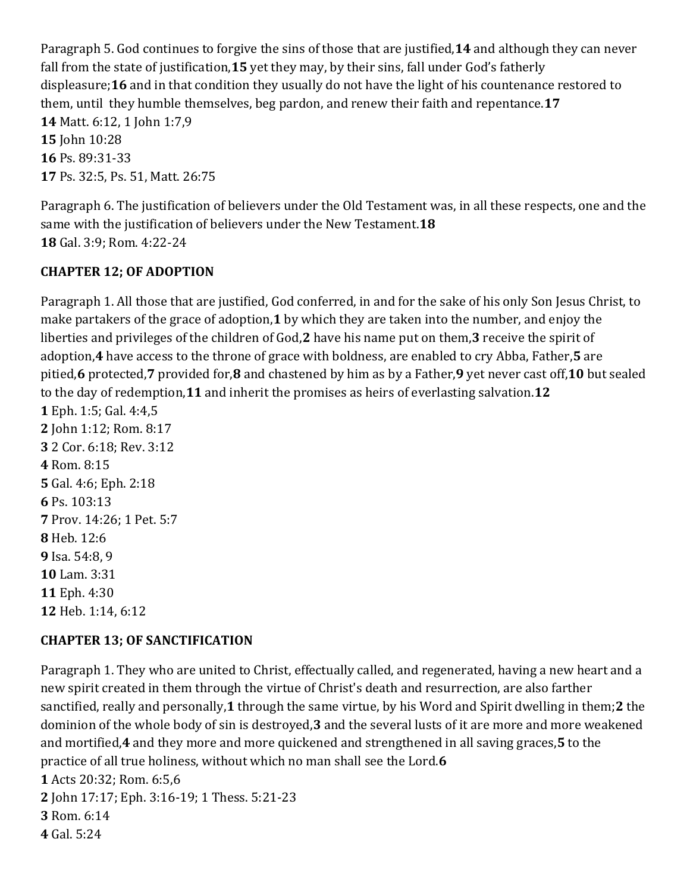Paragraph 5. God continues to forgive the sins of those that are justified,**14** and although they can never fall from the state of justification,**15** yet they may, by their sins, fall under God's fatherly displeasure;**16** and in that condition they usually do not have the light of his countenance restored to them, until they humble themselves, beg pardon, and renew their faith and repentance.**17 14** Matt. 6:12, 1 John 1:7,9 **15** John 10:28 **16** Ps. 89:31-33 **17** Ps. 32:5, Ps. 51, Matt. 26:75

Paragraph 6. The justification of believers under the Old Testament was, in all these respects, one and the same with the justification of believers under the New Testament.**18 18** Gal. 3:9; Rom. 4:22-24

## **CHAPTER 12; OF ADOPTION**

Paragraph 1. All those that are justified, God conferred, in and for the sake of his only Son Jesus Christ, to make partakers of the grace of adoption,**1** by which they are taken into the number, and enjoy the liberties and privileges of the children of God,**2** have his name put on them,**3** receive the spirit of adoption,**4** have access to the throne of grace with boldness, are enabled to cry Abba, Father,**5** are pitied,**6** protected,**7** provided for,**8** and chastened by him as by a Father,**9** yet never cast off,**10** but sealed to the day of redemption,**11** and inherit the promises as heirs of everlasting salvation.**12**

 Eph. 1:5; Gal. 4:4,5 John 1:12; Rom. 8:17 2 Cor. 6:18; Rev. 3:12 Rom. 8:15 Gal. 4:6; Eph. 2:18 Ps. 103:13 Prov. 14:26; 1 Pet. 5:7 Heb. 12:6 Isa. 54:8, 9 Lam. 3:31 Eph. 4:30 Heb. 1:14, 6:12

## **CHAPTER 13; OF SANCTIFICATION**

Paragraph 1. They who are united to Christ, effectually called, and regenerated, having a new heart and a new spirit created in them through the virtue of Christ's death and resurrection, are also farther sanctified, really and personally,**1** through the same virtue, by his Word and Spirit dwelling in them;**2** the dominion of the whole body of sin is destroyed,**3** and the several lusts of it are more and more weakened and mortified,**4** and they more and more quickened and strengthened in all saving graces,**5** to the practice of all true holiness, without which no man shall see the Lord.**6**

**1** Acts 20:32; Rom. 6:5,6

**2** John 17:17; Eph. 3:16-19; 1 Thess. 5:21-23

**3** Rom. 6:14

**4** Gal. 5:24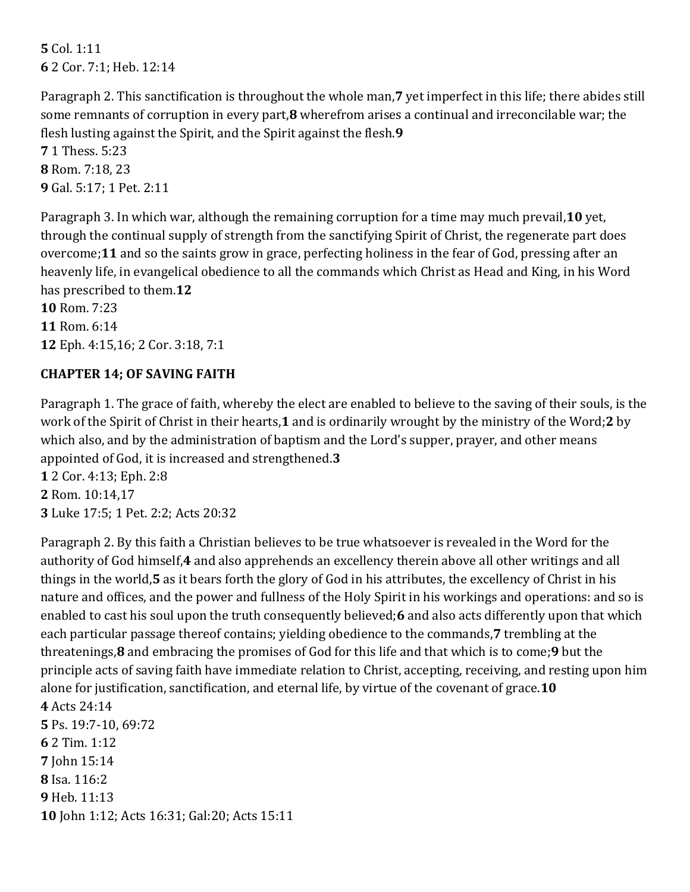**5** Col. 1:11 **6** 2 Cor. 7:1; Heb. 12:14

Paragraph 2. This sanctification is throughout the whole man,**7** yet imperfect in this life; there abides still some remnants of corruption in every part,**8** wherefrom arises a continual and irreconcilable war; the flesh lusting against the Spirit, and the Spirit against the flesh.**9**

**7** 1 Thess. 5:23 **8** Rom. 7:18, 23 **9** Gal. 5:17; 1 Pet. 2:11

Paragraph 3. In which war, although the remaining corruption for a time may much prevail,**10** yet, through the continual supply of strength from the sanctifying Spirit of Christ, the regenerate part does overcome;**11** and so the saints grow in grace, perfecting holiness in the fear of God, pressing after an heavenly life, in evangelical obedience to all the commands which Christ as Head and King, in his Word has prescribed to them.**12 10** Rom. 7:23

**11** Rom. 6:14 **12** Eph. 4:15,16; 2 Cor. 3:18, 7:1

## **CHAPTER 14; OF SAVING FAITH**

Paragraph 1. The grace of faith, whereby the elect are enabled to believe to the saving of their souls, is the work of the Spirit of Christ in their hearts,**1** and is ordinarily wrought by the ministry of the Word;**2** by which also, and by the administration of baptism and the Lord's supper, prayer, and other means appointed of God, it is increased and strengthened.**3**

**1** 2 Cor. 4:13; Eph. 2:8 **2** Rom. 10:14,17 **3** Luke 17:5; 1 Pet. 2:2; Acts 20:32

Paragraph 2. By this faith a Christian believes to be true whatsoever is revealed in the Word for the authority of God himself,**4** and also apprehends an excellency therein above all other writings and all things in the world,**5** as it bears forth the glory of God in his attributes, the excellency of Christ in his nature and offices, and the power and fullness of the Holy Spirit in his workings and operations: and so is enabled to cast his soul upon the truth consequently believed;**6** and also acts differently upon that which each particular passage thereof contains; yielding obedience to the commands,**7** trembling at the threatenings,**8** and embracing the promises of God for this life and that which is to come;**9** but the principle acts of saving faith have immediate relation to Christ, accepting, receiving, and resting upon him alone for justification, sanctification, and eternal life, by virtue of the covenant of grace.**10 4** Acts 24:14 **5** Ps. 19:7-10, 69:72 **6** 2 Tim. 1:12 **7** John 15:14 **8** Isa. 116:2

**9** Heb. 11:13 **10** John 1:12; Acts 16:31; Gal:20; Acts 15:11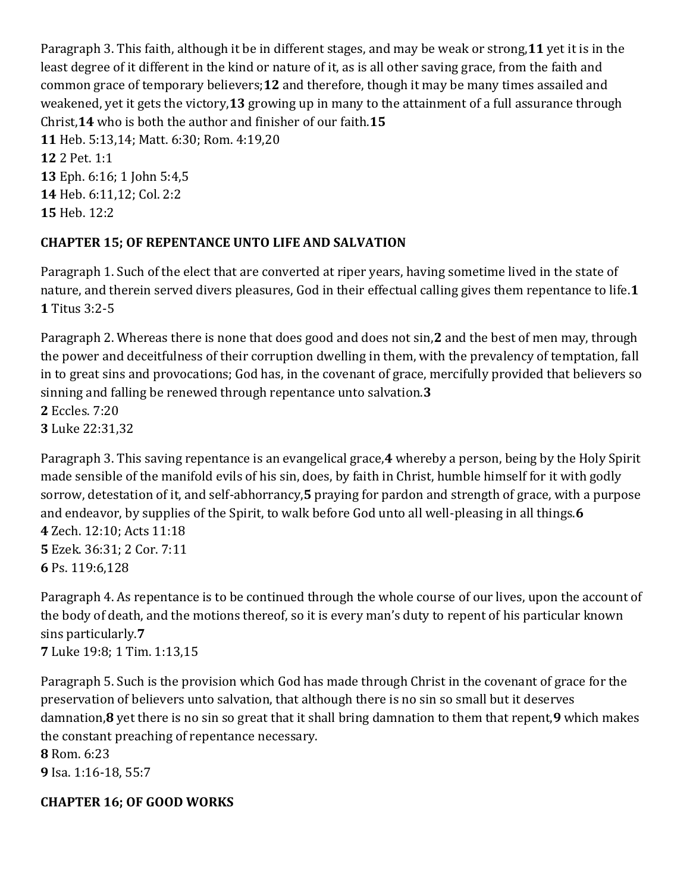Paragraph 3. This faith, although it be in different stages, and may be weak or strong,**11** yet it is in the least degree of it different in the kind or nature of it, as is all other saving grace, from the faith and common grace of temporary believers;**12** and therefore, though it may be many times assailed and weakened, yet it gets the victory,**13** growing up in many to the attainment of a full assurance through Christ,**14** who is both the author and finisher of our faith.**15 11** Heb. 5:13,14; Matt. 6:30; Rom. 4:19,20 **12** 2 Pet. 1:1 **13** Eph. 6:16; 1 John 5:4,5 **14** Heb. 6:11,12; Col. 2:2 **15** Heb. 12:2

### **CHAPTER 15; OF REPENTANCE UNTO LIFE AND SALVATION**

Paragraph 1. Such of the elect that are converted at riper years, having sometime lived in the state of nature, and therein served divers pleasures, God in their effectual calling gives them repentance to life.**1 1** Titus 3:2-5

Paragraph 2. Whereas there is none that does good and does not sin,**2** and the best of men may, through the power and deceitfulness of their corruption dwelling in them, with the prevalency of temptation, fall in to great sins and provocations; God has, in the covenant of grace, mercifully provided that believers so sinning and falling be renewed through repentance unto salvation.**3 2** Eccles. 7:20 **3** Luke 22:31,32

Paragraph 3. This saving repentance is an evangelical grace,**4** whereby a person, being by the Holy Spirit made sensible of the manifold evils of his sin, does, by faith in Christ, humble himself for it with godly sorrow, detestation of it, and self-abhorrancy,**5** praying for pardon and strength of grace, with a purpose and endeavor, by supplies of the Spirit, to walk before God unto all well-pleasing in all things.**6 4** Zech. 12:10; Acts 11:18 **5** Ezek. 36:31; 2 Cor. 7:11 **6** Ps. 119:6,128

Paragraph 4. As repentance is to be continued through the whole course of our lives, upon the account of the body of death, and the motions thereof, so it is every man's duty to repent of his particular known sins particularly.**7 7** Luke 19:8; 1 Tim. 1:13,15

Paragraph 5. Such is the provision which God has made through Christ in the covenant of grace for the preservation of believers unto salvation, that although there is no sin so small but it deserves damnation,**8** yet there is no sin so great that it shall bring damnation to them that repent,**9** which makes the constant preaching of repentance necessary. **8** Rom. 6:23

**9** Isa. 1:16-18, 55:7

## **CHAPTER 16; OF GOOD WORKS**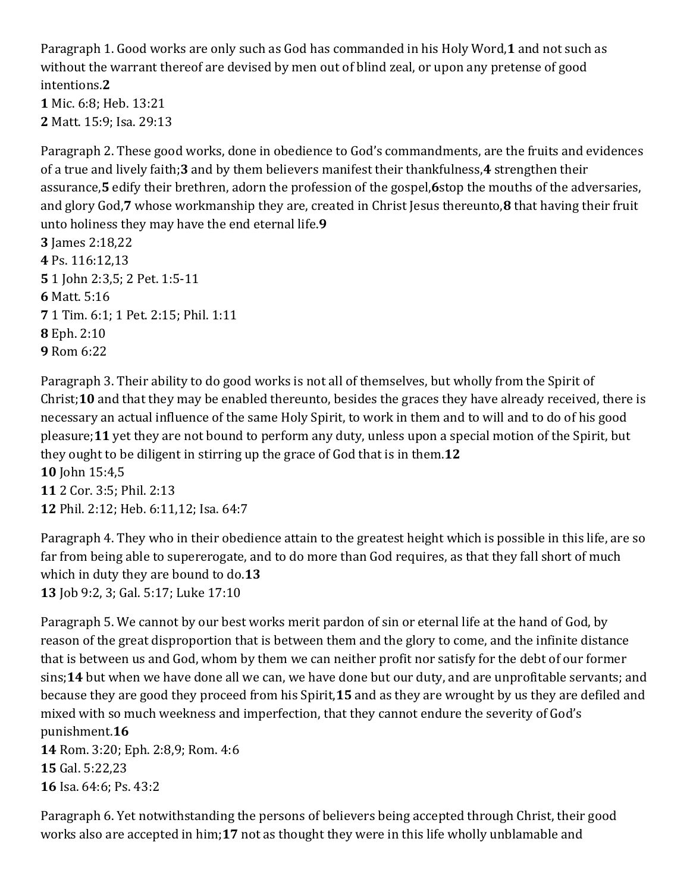Paragraph 1. Good works are only such as God has commanded in his Holy Word,**1** and not such as without the warrant thereof are devised by men out of blind zeal, or upon any pretense of good intentions.**2**

**1** Mic. 6:8; Heb. 13:21 **2** Matt. 15:9; Isa. 29:13

Paragraph 2. These good works, done in obedience to God's commandments, are the fruits and evidences of a true and lively faith;**3** and by them believers manifest their thankfulness,**4** strengthen their assurance,**5** edify their brethren, adorn the profession of the gospel,**6**stop the mouths of the adversaries, and glory God,**7** whose workmanship they are, created in Christ Jesus thereunto,**8** that having their fruit unto holiness they may have the end eternal life.**9 3** James 2:18,22 **4** Ps. 116:12,13 **5** 1 John 2:3,5; 2 Pet. 1:5-11 **6** Matt. 5:16 **7** 1 Tim. 6:1; 1 Pet. 2:15; Phil. 1:11 **8** Eph. 2:10 **9** Rom 6:22

Paragraph 3. Their ability to do good works is not all of themselves, but wholly from the Spirit of Christ;**10** and that they may be enabled thereunto, besides the graces they have already received, there is necessary an actual influence of the same Holy Spirit, to work in them and to will and to do of his good pleasure;**11** yet they are not bound to perform any duty, unless upon a special motion of the Spirit, but they ought to be diligent in stirring up the grace of God that is in them.**12 10** John 15:4,5 **11** 2 Cor. 3:5; Phil. 2:13 **12** Phil. 2:12; Heb. 6:11,12; Isa. 64:7

Paragraph 4. They who in their obedience attain to the greatest height which is possible in this life, are so far from being able to supererogate, and to do more than God requires, as that they fall short of much which in duty they are bound to do.**13 13** Job 9:2, 3; Gal. 5:17; Luke 17:10

Paragraph 5. We cannot by our best works merit pardon of sin or eternal life at the hand of God, by reason of the great disproportion that is between them and the glory to come, and the infinite distance that is between us and God, whom by them we can neither profit nor satisfy for the debt of our former sins;**14** but when we have done all we can, we have done but our duty, and are unprofitable servants; and because they are good they proceed from his Spirit,**15** and as they are wrought by us they are defiled and mixed with so much weekness and imperfection, that they cannot endure the severity of God's punishment.**16 14** Rom. 3:20; Eph. 2:8,9; Rom. 4:6 **15** Gal. 5:22,23

**16** Isa. 64:6; Ps. 43:2

Paragraph 6. Yet notwithstanding the persons of believers being accepted through Christ, their good works also are accepted in him;**17** not as thought they were in this life wholly unblamable and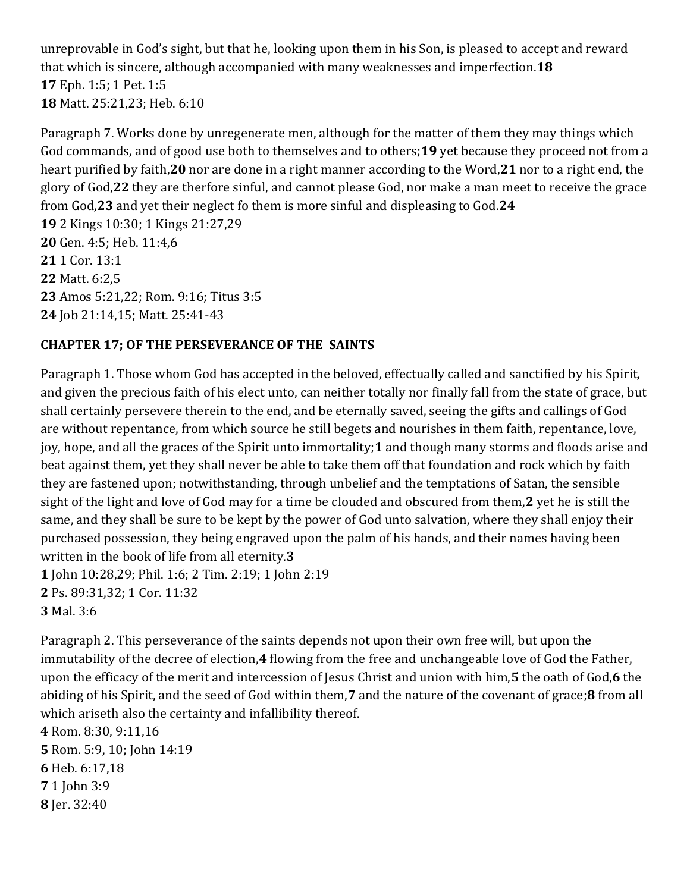unreprovable in God's sight, but that he, looking upon them in his Son, is pleased to accept and reward that which is sincere, although accompanied with many weaknesses and imperfection.**18 17** Eph. 1:5; 1 Pet. 1:5 **18** Matt. 25:21,23; Heb. 6:10

Paragraph 7. Works done by unregenerate men, although for the matter of them they may things which God commands, and of good use both to themselves and to others;**19** yet because they proceed not from a heart purified by faith,**20** nor are done in a right manner according to the Word,**21** nor to a right end, the glory of God,**22** they are therfore sinful, and cannot please God, nor make a man meet to receive the grace from God,**23** and yet their neglect fo them is more sinful and displeasing to God.**24**

 2 Kings 10:30; 1 Kings 21:27,29 Gen. 4:5; Heb. 11:4,6 1 Cor. 13:1 Matt. 6:2,5 Amos 5:21,22; Rom. 9:16; Titus 3:5 Job 21:14,15; Matt. 25:41-43

## **CHAPTER 17; OF THE PERSEVERANCE OF THE SAINTS**

Paragraph 1. Those whom God has accepted in the beloved, effectually called and sanctified by his Spirit, and given the precious faith of his elect unto, can neither totally nor finally fall from the state of grace, but shall certainly persevere therein to the end, and be eternally saved, seeing the gifts and callings of God are without repentance, from which source he still begets and nourishes in them faith, repentance, love, joy, hope, and all the graces of the Spirit unto immortality;**1** and though many storms and floods arise and beat against them, yet they shall never be able to take them off that foundation and rock which by faith they are fastened upon; notwithstanding, through unbelief and the temptations of Satan, the sensible sight of the light and love of God may for a time be clouded and obscured from them,**2** yet he is still the same, and they shall be sure to be kept by the power of God unto salvation, where they shall enjoy their purchased possession, they being engraved upon the palm of his hands, and their names having been written in the book of life from all eternity.**3 1** John 10:28,29; Phil. 1:6; 2 Tim. 2:19; 1 John 2:19 **2** Ps. 89:31,32; 1 Cor. 11:32

**3** Mal. 3:6

Paragraph 2. This perseverance of the saints depends not upon their own free will, but upon the immutability of the decree of election,**4** flowing from the free and unchangeable love of God the Father, upon the efficacy of the merit and intercession of Jesus Christ and union with him,**5** the oath of God,**6** the abiding of his Spirit, and the seed of God within them,**7** and the nature of the covenant of grace;**8** from all which ariseth also the certainty and infallibility thereof.

 Rom. 8:30, 9:11,16 Rom. 5:9, 10; John 14:19 Heb. 6:17,18 1 John 3:9 Jer. 32:40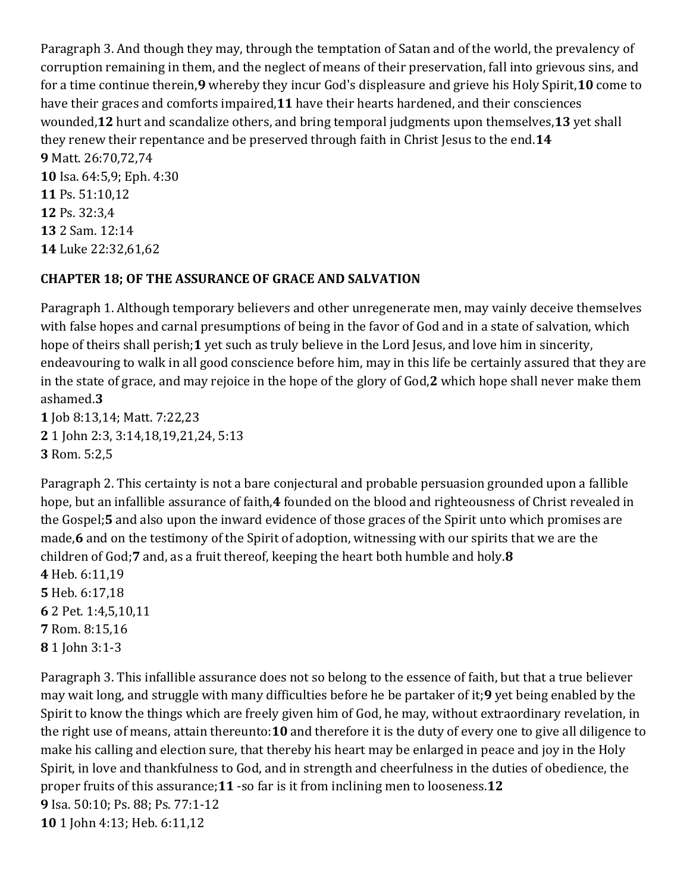Paragraph 3. And though they may, through the temptation of Satan and of the world, the prevalency of corruption remaining in them, and the neglect of means of their preservation, fall into grievous sins, and for a time continue therein,**9** whereby they incur God's displeasure and grieve his Holy Spirit,**10** come to have their graces and comforts impaired,**11** have their hearts hardened, and their consciences wounded,**12** hurt and scandalize others, and bring temporal judgments upon themselves,**13** yet shall they renew their repentance and be preserved through faith in Christ Jesus to the end.**14 9** Matt. 26:70,72,74 **10** Isa. 64:5,9; Eph. 4:30 **11** Ps. 51:10,12 **12** Ps. 32:3,4 **13** 2 Sam. 12:14 **14** Luke 22:32,61,62

### **CHAPTER 18; OF THE ASSURANCE OF GRACE AND SALVATION**

Paragraph 1. Although temporary believers and other unregenerate men, may vainly deceive themselves with false hopes and carnal presumptions of being in the favor of God and in a state of salvation, which hope of theirs shall perish;**1** yet such as truly believe in the Lord Jesus, and love him in sincerity, endeavouring to walk in all good conscience before him, may in this life be certainly assured that they are in the state of grace, and may rejoice in the hope of the glory of God,**2** which hope shall never make them ashamed.**3 1** Job 8:13,14; Matt. 7:22,23

**2** 1 John 2:3, 3:14,18,19,21,24, 5:13 **3** Rom. 5:2,5

Paragraph 2. This certainty is not a bare conjectural and probable persuasion grounded upon a fallible hope, but an infallible assurance of faith,**4** founded on the blood and righteousness of Christ revealed in the Gospel;**5** and also upon the inward evidence of those graces of the Spirit unto which promises are made,**6** and on the testimony of the Spirit of adoption, witnessing with our spirits that we are the children of God;**7** and, as a fruit thereof, keeping the heart both humble and holy.**8**

 Heb. 6:11,19 Heb. 6:17,18 2 Pet. 1:4,5,10,11 Rom. 8:15,16 1 John 3:1-3

Paragraph 3. This infallible assurance does not so belong to the essence of faith, but that a true believer may wait long, and struggle with many difficulties before he be partaker of it;**9** yet being enabled by the Spirit to know the things which are freely given him of God, he may, without extraordinary revelation, in the right use of means, attain thereunto:**10** and therefore it is the duty of every one to give all diligence to make his calling and election sure, that thereby his heart may be enlarged in peace and joy in the Holy Spirit, in love and thankfulness to God, and in strength and cheerfulness in the duties of obedience, the proper fruits of this assurance;**11** -so far is it from inclining men to looseness.**12 9** Isa. 50:10; Ps. 88; Ps. 77:1-12 **10** 1 John 4:13; Heb. 6:11,12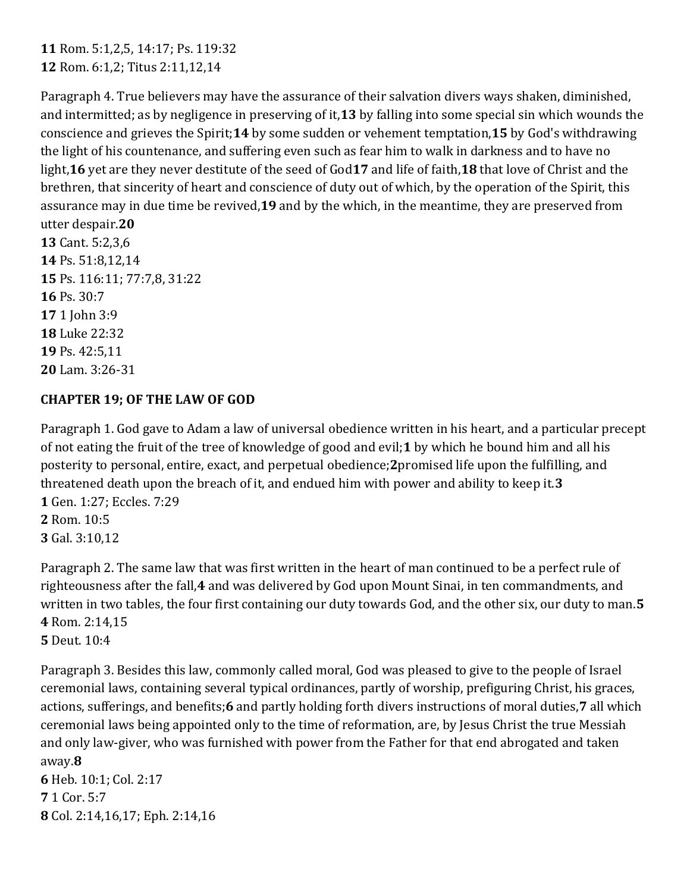**11** Rom. 5:1,2,5, 14:17; Ps. 119:32 **12** Rom. 6:1,2; Titus 2:11,12,14

Paragraph 4. True believers may have the assurance of their salvation divers ways shaken, diminished, and intermitted; as by negligence in preserving of it,**13** by falling into some special sin which wounds the conscience and grieves the Spirit;**14** by some sudden or vehement temptation,**15** by God's withdrawing the light of his countenance, and suffering even such as fear him to walk in darkness and to have no light,**16** yet are they never destitute of the seed of God**17** and life of faith,**18** that love of Christ and the brethren, that sincerity of heart and conscience of duty out of which, by the operation of the Spirit, this assurance may in due time be revived,**19** and by the which, in the meantime, they are preserved from utter despair.**20**

 Cant. 5:2,3,6 Ps. 51:8,12,14 Ps. 116:11; 77:7,8, 31:22 **16** Ps. 30:7 1 John 3:9 Luke 22:32 Ps. 42:5,11 Lam. 3:26-31

## **CHAPTER 19; OF THE LAW OF GOD**

Paragraph 1. God gave to Adam a law of universal obedience written in his heart, and a particular precept of not eating the fruit of the tree of knowledge of good and evil;**1** by which he bound him and all his posterity to personal, entire, exact, and perpetual obedience;**2**promised life upon the fulfilling, and threatened death upon the breach of it, and endued him with power and ability to keep it.**3 1** Gen. 1:27; Eccles. 7:29

**2** Rom. 10:5 **3** Gal. 3:10,12

Paragraph 2. The same law that was first written in the heart of man continued to be a perfect rule of righteousness after the fall,**4** and was delivered by God upon Mount Sinai, in ten commandments, and written in two tables, the four first containing our duty towards God, and the other six, our duty to man.**5 4** Rom. 2:14,15 **5** Deut. 10:4

Paragraph 3. Besides this law, commonly called moral, God was pleased to give to the people of Israel ceremonial laws, containing several typical ordinances, partly of worship, prefiguring Christ, his graces, actions, sufferings, and benefits;**6** and partly holding forth divers instructions of moral duties,**7** all which ceremonial laws being appointed only to the time of reformation, are, by Jesus Christ the true Messiah and only law-giver, who was furnished with power from the Father for that end abrogated and taken away.**8**

**6** Heb. 10:1; Col. 2:17 **7** 1 Cor. 5:7 **8** Col. 2:14,16,17; Eph. 2:14,16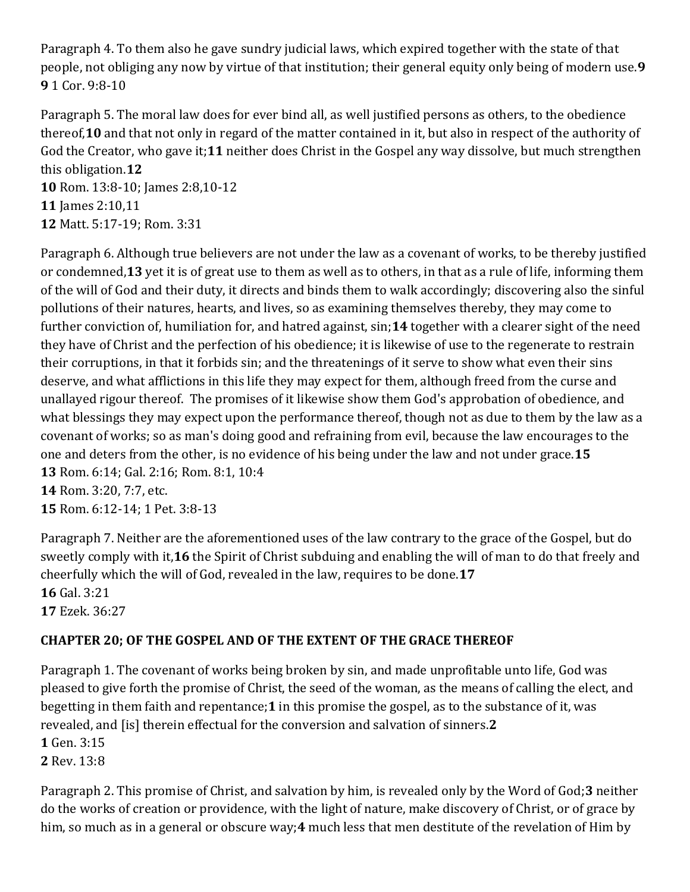Paragraph 4. To them also he gave sundry judicial laws, which expired together with the state of that people, not obliging any now by virtue of that institution; their general equity only being of modern use.**9 9** 1 Cor. 9:8-10

Paragraph 5. The moral law does for ever bind all, as well justified persons as others, to the obedience thereof,**10** and that not only in regard of the matter contained in it, but also in respect of the authority of God the Creator, who gave it;**11** neither does Christ in the Gospel any way dissolve, but much strengthen this obligation.**12 10** Rom. 13:8-10; James 2:8,10-12 **11** James 2:10,11

**12** Matt. 5:17-19; Rom. 3:31

Paragraph 6. Although true believers are not under the law as a covenant of works, to be thereby justified or condemned,**13** yet it is of great use to them as well as to others, in that as a rule of life, informing them of the will of God and their duty, it directs and binds them to walk accordingly; discovering also the sinful pollutions of their natures, hearts, and lives, so as examining themselves thereby, they may come to further conviction of, humiliation for, and hatred against, sin;**14** together with a clearer sight of the need they have of Christ and the perfection of his obedience; it is likewise of use to the regenerate to restrain their corruptions, in that it forbids sin; and the threatenings of it serve to show what even their sins deserve, and what afflictions in this life they may expect for them, although freed from the curse and unallayed rigour thereof. The promises of it likewise show them God's approbation of obedience, and what blessings they may expect upon the performance thereof, though not as due to them by the law as a covenant of works; so as man's doing good and refraining from evil, because the law encourages to the one and deters from the other, is no evidence of his being under the law and not under grace.**15 13** Rom. 6:14; Gal. 2:16; Rom. 8:1, 10:4 **14** Rom. 3:20, 7:7, etc.

**15** Rom. 6:12-14; 1 Pet. 3:8-13

Paragraph 7. Neither are the aforementioned uses of the law contrary to the grace of the Gospel, but do sweetly comply with it,**16** the Spirit of Christ subduing and enabling the will of man to do that freely and cheerfully which the will of God, revealed in the law, requires to be done.**17 16** Gal. 3:21 **17** Ezek. 36:27

# **CHAPTER 20; OF THE GOSPEL AND OF THE EXTENT OF THE GRACE THEREOF**

Paragraph 1. The covenant of works being broken by sin, and made unprofitable unto life, God was pleased to give forth the promise of Christ, the seed of the woman, as the means of calling the elect, and begetting in them faith and repentance;**1** in this promise the gospel, as to the substance of it, was revealed, and [is] therein effectual for the conversion and salvation of sinners.**2**

**1** Gen. 3:15

**2** Rev. 13:8

Paragraph 2. This promise of Christ, and salvation by him, is revealed only by the Word of God;**3** neither do the works of creation or providence, with the light of nature, make discovery of Christ, or of grace by him, so much as in a general or obscure way;**4** much less that men destitute of the revelation of Him by